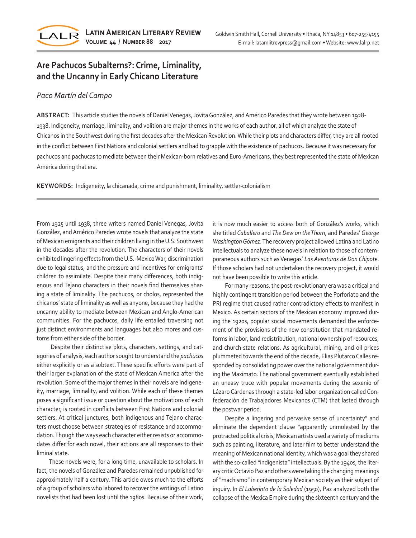

# **Are Pachucos Subalterns?: Crime, Liminality, and the Uncanny in Early Chicano Literature**

## *Paco Martín del Campo*

**ABSTRACT:** This article studies the novels of Daniel Venegas, Jovita González, and Américo Paredes that they wrote between 1928- 1938. Indigeneity, marriage, liminality, and volition are major themes in the works of each author, all of which analyze the state of Chicanos in the Southwest during the first decades after the Mexican Revolution. While their plots and characters differ, they are all rooted in the conflict between First Nations and colonial settlers and had to grapple with the existence of pachucos. Because it was necessary for pachucos and pachucas to mediate between their Mexican-born relatives and Euro-Americans, they best represented the state of Mexican America during that era.

**KEYWORDS:** Indigeneity, la chicanada, crime and punishment, liminality, settler-colonialism

From 1925 until 1938, three writers named Daniel Venegas, Jovita González, and Américo Paredes wrote novels that analyze the state of Mexican emigrants and their children living in the U.S. Southwest in the decades after the revolution. The characters of their novels exhibited lingering effects from the U.S.-Mexico War, discrimination due to legal status, and the pressure and incentives for emigrants' children to assimilate. Despite their many differences, both indigenous and Tejano characters in their novels find themselves sharing a state of liminality. The pachucos, or cholos, represented the chicanos' state of liminality as well as anyone, because they had the uncanny ability to mediate between Mexican and Anglo-American communities. For the pachucos, daily life entailed traversing not just distinct environments and languages but also mores and customs from either side of the border.

 Despite their distinctive plots, characters, settings, and categories of analysis, each author sought to understand the *pachucos* either explicitly or as a subtext. These specific efforts were part of their larger explanation of the state of Mexican America after the revolution. Some of the major themes in their novels are indigeneity, marriage, liminality, and volition. While each of these themes poses a significant issue or question about the motivations of each character, is rooted in conflicts between First Nations and colonial settlers. At critical junctures, both indigenous and Tejano characters must choose between strategies of resistance and accommodation. Though the ways each character either resists or accommodates differ for each novel, their actions are all responses to their liminal state.

These novels were, for a long time, unavailable to scholars. In fact, the novels of González and Paredes remained unpublished for approximately half a century. This article owes much to the efforts of a group of scholars who labored to recover the writings of Latino novelists that had been lost until the 1980s. Because of their work, it is now much easier to access both of González's works, which she titled *Caballero* and *The Dew on the Thorn*, and Paredes' *George Washington Gómez*. The recovery project allowed Latina and Latino intellectuals to analyze these novels in relation to those of contemporaneous authors such as Venegas' *Las Aventuras de Don Chipote*. If those scholars had not undertaken the recovery project, it would not have been possible to write this article.

For many reasons, the post-revolutionary era was a critical and highly contingent transition period between the Porforiato and the PRI regime that caused rather contradictory effects to manifest in Mexico. As certain sectors of the Mexican economy improved during the 1920s, popular social movements demanded the enforcement of the provisions of the new constitution that mandated reforms in labor, land redistribution, national ownership of resources, and church-state relations. As agricultural, mining, and oil prices plummeted towards the end of the decade, Elias Plutarco Calles responded by consolidating power over the national government during the Maximato. The national government eventually established an uneasy truce with popular movements during the sexenio of Lázaro Cárdenas through a state-led labor organization called Confederación de Trabajadores Mexicanos (CTM) that lasted through the postwar period.

Despite a lingering and pervasive sense of uncertainty" and eliminate the dependent clause "apparently unmolested by the protracted political crisis, Mexican artists used a variety of mediums such as painting, literature, and later film to better understand the meaning of Mexican national identity, which was a goal they shared with the so-called "indigenista" intellectuals. By the 1940s, the literary critic Octavio Paz and others were taking the changing meanings of "machismo" in contemporary Mexican society as their subject of inquiry. In *El Laberinto de la Soledad* (1950), Paz analyzed both the collapse of the Mexica Empire during the sixteenth century and the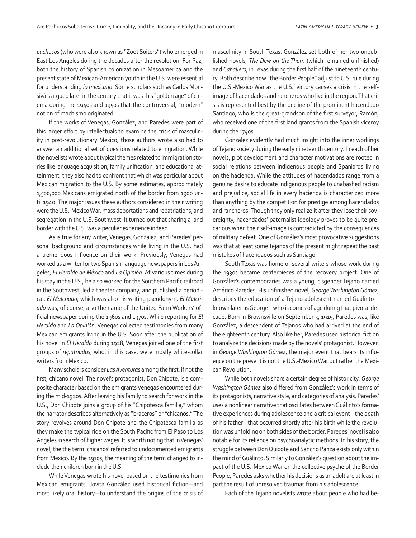*pachucos* (who were also known as "Zoot Suiters") who emerged in East Los Angeles during the decades after the revolution. For Paz, both the history of Spanish colonization in Mesoamerica and the present state of Mexican-American youth in the U.S. were essential for understanding *lo mexicano*. Some scholars such as Carlos Monsiváis argued later in the century that it was this "golden age" of cinema during the 1940s and 1950s that the controversial, "modern" notion of machismo originated.

If the works of Venegas, González, and Paredes were part of this larger effort by intellectuals to examine the crisis of masculinity in post-revolutionary Mexico, those authors wrote also had to answer an additional set of questions related to emigration. While the novelists wrote about typical themes related to immigration stories like language acquisition, family unification, and educational attainment, they also had to confront that which was particular about Mexican migration to the U.S. By some estimates, approximately 1,500,000 Mexicans emigrated north of the border from 1900 until 1940. The major issues these authors considered in their writing were the U.S.-Mexico War, mass deportations and repatriations, and segregation in the U.S. Southwest. It turned out that sharing a land border with the U.S. was a peculiar experience indeed.

As is true for any writer, Venegas, González, and Paredes' personal background and circumstances while living in the U.S. had a tremendous influence on their work. Previously, Venegas had worked as a writer for two Spanish-language newspapers in Los Angeles, *El Heraldo de México* and *La Opinión*. At various times during his stay in the U.S., he also worked for the Southern Pacific railroad in the Southwest, led a theater company, and published a periodical, *El Malcriado*, which was also his writing pseudonym. *El Malcriado* was, of course, also the name of the United Farm Workers' official newspaper during the 1960s and 1970s. While reporting for *El Heraldo* and *La Opinión*, Venegas collected testimonies from many Mexican emigrants living in the U.S. Soon after the publication of his novel in *El Heraldo* during 1928, Venegas joined one of the first groups of *repatriados*, who, in this case, were mostly white-collar writers from Mexico.

Many scholars consider *Las Aventuras* among the first, if not the first, chicano novel. The novel's protagonist, Don Chipote, is a composite character based on the emigrants Venegas encountered during the mid-1920s. After leaving his family to search for work in the U.S., Don Chipote joins a group of his "Chipotesca familia," whom the narrator describes alternatively as "braceros" or "chicanos." The story revolves around Don Chipote and the Chipotesca familia as they make the typical ride on the South Pacific from El Paso to Los Angeles in search of higher wages. It is worth noting that in Venegas' novel, the the term 'chicanos' referred to undocumented emigrants from Mexico. By the 1970s, the meaning of the term changed to include their children born in the U.S.

While Venegas wrote his novel based on the testimonies from Mexican emigrants, Jovita González used historical fiction—and most likely oral history—to understand the origins of the crisis of

masculinity in South Texas. González set both of her two unpublished novels, *The Dew on the Thorn* (which remained unfinished) and *Caballero*, in Texas during the first half of the nineteenth century. Both describe how "the Border People" adjust to U.S. rule during the U.S.-Mexico War as the U.S.' victory causes a crisis in the selfimage of hacendados and rancheros who live in the region. That crisis is represented best by the decline of the prominent hacendado Santiago, who is the great-grandson of the first surveyor, Ramón, who received one of the first land grants from the Spanish viceroy during the 1740s.

González evidently had much insight into the inner workings of Tejano society during the early nineteenth century. In each of her novels, plot development and character motivations are rooted in social relations between indigenous people and Spaniards living on the hacienda. While the attitudes of hacendados range from a genuine desire to educate indigenous people to unabashed racism and prejudice, social life in every hacienda is characterized more than anything by the competition for prestige among hacendados and rancheros. Though they only realize it after they lose their sovereignty, hacendados' paternalist ideology proves to be quite precarious when their self-image is contradicted by the consequences of military defeat. One of González's most provocative suggestions was that at least some Tejanos of the present might repeat the past mistakes of hacendados such as Santiago.

South Texas was home of several writers whose work during the 1930s became centerpieces of the recovery project. One of González's contemporaries was a young, cisgender Tejano named Américo Paredes. His unfinished novel, *George Washington Gómez*, describes the education of a Tejano adolescent named Guálinto known later as George—who is comes of age during that pivotal decade. Born in Brownsville on September 3, 1915, Paredes was, like González, a descendent of Tejanos who had arrived at the end of the eighteenth century. Also like her, Paredes used historical fiction to analyze the decisions made by the novels' protagonist. However, in *George Washington Gómez*, the major event that bears its influence on the present is not the U.S.-Mexico War but rather the Mexican Revolution.

While both novels share a certain degree of historicity, *George Washington Gómez* also differed from González's work in terms of its protagonists, narrative style, and categories of analysis. Paredes' uses a nonlinear narrative that oscillates between Guálinto's formative experiences during adolescence and a critical event—the death of his father—that occurred shortly after his birth while the revolution was unfolding on both sides of the border. Paredes' novel is also notable for its reliance on psychoanalytic methods. In his story, the struggle between Don Quixote and Sancho Panza exists only within the mind of Guálinto. Similarly to González's question about the impact of the U.S.-Mexico War on the collective psyche of the Border People, Paredes asks whether his decisions as an adult are at least in part the result of unresolved traumas from his adolescence.

Each of the Tejano novelists wrote about people who had be-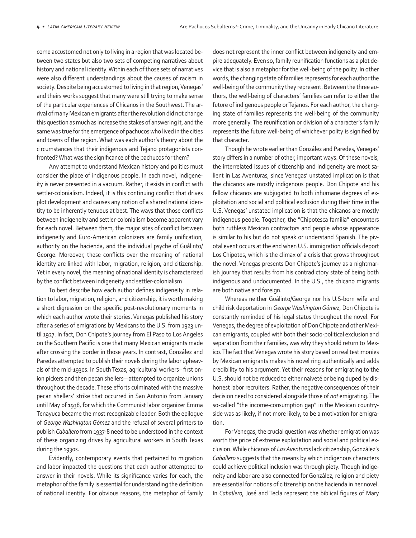come accustomed not only to living in a region that was located between two states but also two sets of competing narratives about history and national identity. Within each of those sets of narratives were also different understandings about the causes of racism in society. Despite being accustomed to living in that region, Venegas' and theirs works suggest that many were still trying to make sense of the particular experiences of Chicanos in the Southwest. The arrival of many Mexican emigrants after the revolution did not change this question as much as increase the stakes of answering it, and the same was true for the emergence of pachucos who lived in the cities and towns of the region. What was each author's theory about the circumstances that their indigenous and Tejano protagonists confronted? What was the significance of the pachucos for them?

Any attempt to understand Mexican history and politics must consider the place of indigenous people. In each novel, indigeneity is never presented in a vacuum. Rather, it exists in conflict with settler-colonialism. Indeed, it is this continuing conflict that drives plot development and causes any notion of a shared national identity to be inherently tenuous at best. The ways that those conflicts between indigeneity and settler-colonialism become apparent vary for each novel. Between them, the major sites of conflict between indigeneity and Euro-American colonizers are family unification, authority on the hacienda, and the individual psyche of Guálinto/ George. Moreover, these conflicts over the meaning of national identity are linked with labor, migration, religion, and citizenship. Yet in every novel, the meaning of national identity is characterized by the conflict between indigeneity and settler-colonialism

To best describe how each author defines indigeneity in relation to labor, migration, religion, and citizenship, it is worth making a short digression on the specific post-revolutionary moments in which each author wrote their stories. Venegas published his story after a series of emigrations by Mexicans to the U.S. from 1923 until 1927. In fact, Don Chipote's journey from El Paso to Los Angeles on the Southern Pacific is one that many Mexican emigrants made after crossing the border in those years. In contrast, González and Paredes attempted to publish their novels during the labor upheavals of the mid-1930s. In South Texas, agricultural workers– first onion pickers and then pecan shellers—attempted to organize unions throughout the decade. These efforts culminated with the massive pecan shellers' strike that occurred in San Antonio from January until May of 1938, for which the Communist labor organizer Emma Tenayuca became the most recognizable leader. Both the epilogue of *George Washington Gómez* and the refusal of several printers to publish *Caballero* from 1937-8 need to be understood in the context of these organizing drives by agricultural workers in South Texas during the 1930s.

Evidently, contemporary events that pertained to migration and labor impacted the questions that each author attempted to answer in their novels. While its significance varies for each, the metaphor of the family is essential for understanding the definition of national identity. For obvious reasons, the metaphor of family

does not represent the inner conflict between indigeneity and empire adequately. Even so, family reunification functions as a plot device that is also a metaphor for the well-being of the polity. In other words, the changing state of families represents for each author the well-being of the community they represent. Between the three authors, the well-being of characters' families can refer to either the future of indigenous people or Tejanos. For each author, the changing state of families represents the well-being of the community more generally. The reunification or division of a character's family represents the future well-being of whichever polity is signified by that character.

Though he wrote earlier than González and Paredes, Venegas' story differs in a number of other, important ways. Of these novels, the interrelated issues of citizenship and indigeneity are most salient in Las Aventuras, since Venegas' unstated implication is that the chicanos are mostly indigenous people. Don Chipote and his fellow chicanos are subjugated to both inhumane degrees of exploitation and social and political exclusion during their time in the U.S. Venegas' unstated implication is that the chicanos are mostly indigenous people. Together, the "Chipotesca familia" encounters both ruthless Mexican contractors and people whose appearance is similar to his but do not speak or understand Spanish. The pivotal event occurs at the end when U.S. immigration officials deport Los Chipotes, which is the climax of a crisis that grows throughout the novel. Venegas presents Don Chipote's journey as a nightmarish journey that results from his contradictory state of being both indigenous and undocumented. In the U.S., the chicano migrants are both native and foreign.

Whereas neither Guálinto/George nor his U.S-born wife and child risk deportation in *George Washington Gómez*, Don Chipote is constantly reminded of his legal status throughout the novel. For Venegas, the degree of exploitation of Don Chipote and other Mexican emigrants, coupled with both their socio-political exclusion and separation from their families, was why they should return to Mexico. The fact that Venegas wrote his story based on real testimonies by Mexican emigrants makes his novel ring authentically and adds credibility to his argument. Yet their reasons for emigrating to the U.S. should not be reduced to either naiveté or being duped by dishonest labor recruiters. Rather, the negative consequences of their decision need to considered alongside those of *not* emigrating. The so-called "the income-consumption gap" in the Mexican countryside was as likely, if not more likely, to be a motivation for emigration.

For Venegas, the crucial question was whether emigration was worth the price of extreme exploitation and social and political exclusion. While chicanos of *Las Aventuras* lack citizenship, González's *Caballero* suggests that the means by which indigenous characters could achieve political inclusion was through piety. Though indigeneity and labor are also connected for González, religion and piety are essential for notions of citizenship on the hacienda in her novel. In *Caballero*, José and Tecla represent the biblical figures of Mary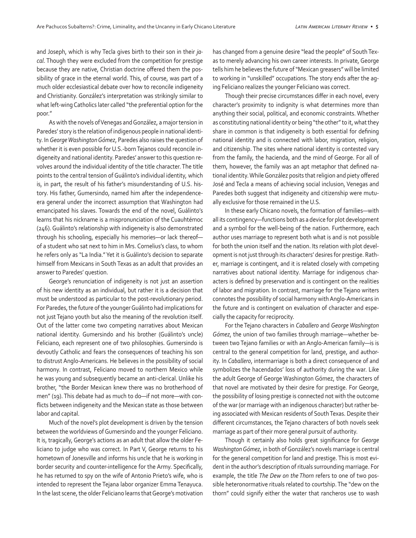and Joseph, which is why Tecla gives birth to their son in their *jacal*. Though they were excluded from the competition for prestige because they are native, Christian doctrine offered them the possibility of grace in the eternal world. This, of course, was part of a much older ecclesiastical debate over how to reconcile indigeneity and Christianity. González's interpretation was strikingly similar to what left-wing Catholics later called "the preferential option for the poor."

As with the novels of Venegas and González, a major tension in Paredes' story is the relation of indigenous people in national identity. In *George Washington Gómez*, Paredes also raises the question of whether it is even possible for U.S.-born Tejanos could reconcile indigeneity and national identity. Paredes' answer to this question revolves around the individual identity of the title character. The title points to the central tension of Guálinto's individual identity, which is, in part, the result of his father's misunderstanding of U.S. history. His father, Gumersindo, named him after the independenceera general under the incorrect assumption that Washington had emancipated his slaves. Towards the end of the novel, Guálinto's learns that his nickname is a mispronunciation of the Cuauhtémoc (246). Guálinto's relationship with indigeneity is also demonstrated through his schooling, especially his memories—or lack thereof of a student who sat next to him in Mrs. Cornelius's class, to whom he refers only as "La India." Yet it is Guálinto's decision to separate himself from Mexicans in South Texas as an adult that provides an answer to Paredes' question.

George's renunciation of indigeneity is not just an assertion of his new identity as an individual, but rather it is a decision that must be understood as particular to the post-revolutionary period. For Paredes, the future of the younger Guálinto had implications for not just Tejano youth but also the meaning of the revolution itself. Out of the latter come two competing narratives about Mexican national identity. Gumersindo and his brother (Guálinto's uncle) Feliciano, each represent one of two philosophies. Gumersindo is devoutly Catholic and fears the consequences of teaching his son to distrust Anglo-Americans. He believes in the possibility of social harmony. In contrast, Feliciano moved to northern Mexico while he was young and subsequently became an anti-clerical. Unlike his brother, "the Border Mexican knew there was no brotherhood of men" (19). This debate had as much to do—if not more—with conflicts between indigeneity and the Mexican state as those between labor and capital.

Much of the novel's plot development is driven by the tension between the worldviews of Gumersindo and the younger Feliciano. It is, tragically, George's actions as an adult that allow the older Feliciano to judge who was correct. In Part V, George returns to his hometown of Jonesville and informs his uncle that he is working in border security and counter-intelligence for the Army. Specifically, he has returned to spy on the wife of Antonio Prieto's wife, who is intended to represent the Tejana labor organizer Emma Tenayuca. In the last scene, the older Feliciano learns that George's motivation has changed from a genuine desire "lead the people" of South Texas to merely advancing his own career interests. In private, George tells him he believes the future of "Mexican greasers" will be limited to working in "unskilled" occupations. The story ends after the aging Feliciano realizes the younger Feliciano was correct.

Though their precise circumstances differ in each novel, every character's proximity to indignity is what determines more than anything their social, political, and economic constraints. Whether as constituting national identity or being "the other" to it, what they share in common is that indigeneity is both essential for defining national identity and is connected with labor, migration, religion, and citizenship. The sites where national identity is contested vary from the family, the hacienda, and the mind of George. For all of them, however, the family was an apt metaphor that defined national identity. While González posits that religion and piety offered José and Tecla a means of achieving social inclusion, Venegas and Paredes both suggest that indigeneity and citizenship were mutually exclusive for those remained in the U.S.

In these early Chicano novels, the formation of families—with all its contingency—functions both as a device for plot development and a symbol for the well-being of the nation. Furthermore, each author uses marriage to represent both what is and is not possible for both the union itself and the nation. Its relation with plot development is not just through its characters' desires for prestige. Rather, marriage is contingent, and it is related closely with competing narratives about national identity. Marriage for indigenous characters is defined by preservation and is contingent on the realities of labor and migration. In contrast, marriage for the Tejano writers connotes the possibility of social harmony with Anglo-Americans in the future and is contingent on evaluation of character and especially the capacity for reciprocity.

For the Tejano characters in *Caballero* and *George Washington Gómez*, the union of two families through marriage—whether between two Tejano families or with an Anglo-American family—is is central to the general competition for land, prestige, and authority. In *Caballero*, intermarriage is both a direct consequence of and symbolizes the hacendados' loss of authority during the war. Like the adult George of George Washington Gómez, the characters of that novel are motivated by their desire for prestige. For George, the possibility of losing prestige is connected not with the outcome of the war (or marriage with an indigenous character) but rather being associated with Mexican residents of South Texas. Despite their different circumstances, the Tejano characters of both novels seek marriage as part of their more general pursuit of authority.

Though it certainly also holds great significance for *George Washington Gómez*, in both of González's novels marriage is central for the general competition for land and prestige. This is most evident in the author's description of rituals surrounding marriage. For example, the title *The Dew on the Thorn* refers to one of two possible heteronormative rituals related to courtship. The "dew on the thorn" could signify either the water that rancheros use to wash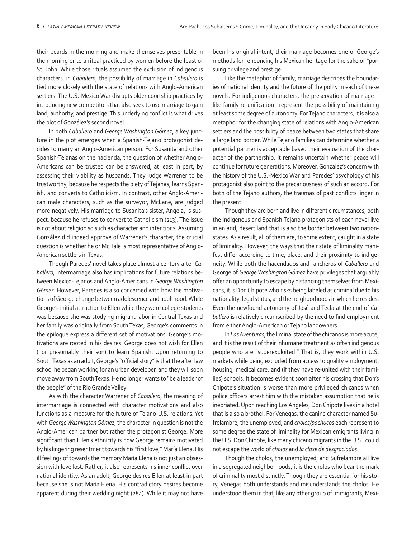their beards in the morning and make themselves presentable in the morning or to a ritual practiced by women before the feast of St. John. While those rituals assumed the exclusion of indigenous characters, in *Caballero*, the possibility of marriage in *Caballero* is tied more closely with the state of relations with Anglo-American settlers. The U.S.-Mexico War disrupts older courtship practices by introducing new competitors that also seek to use marriage to gain land, authority, and prestige. This underlying conflict is what drives the plot of González's second novel.

In both *Caballero* and *George Washington Gómez*, a key juncture in the plot emerges when a Spanish-Tejano protagonist decides to marry an Anglo-American person. For Susanita and other Spanish-Tejanas on the hacienda, the question of whether Anglo-Americans can be trusted can be answered, at least in part, by assessing their viability as husbands. They judge Warrener to be trustworthy, because he respects the piety of Tejanas, learns Spanish, and converts to Catholicism. In contrast, other Anglo-American male characters, such as the surveyor, McLane, are judged more negatively. His marriage to Susanita's sister, Angela, is suspect, because he refuses to convert to Catholicism (213). The issue is not about religion so such as character and intentions. Assuming González did indeed approve of Warrener's character, the crucial question is whether he or McHale is most representative of Anglo-American settlers in Texas.

Though Paredes' novel takes place almost a century after *Caballero*, intermarriage also has implications for future relations between Mexico-Tejanos and Anglo-Americans in *George Washington Gómez*. However, Paredes is also concerned with how the motivations of George change between adolescence and adulthood. While George's initial attraction to Ellen while they were college students was because she was studying migrant labor in Central Texas and her family was originally from South Texas, George's comments in the epilogue express a different set of motivations. George's motivations are rooted in his desires. George does not wish for Ellen (nor presumably their son) to learn Spanish. Upon returning to South Texas as an adult, George's "official story" is that the after law school he began working for an urban developer, and they will soon move away from South Texas. He no longer wants to "be a leader of the people" of the Rio Grande Valley.

As with the character Warrener of *Caballero*, the meaning of intermarriage is connected with character motivations and also functions as a measure for the future of Tejano-U.S. relations. Yet with *George Washington Gómez*, the character in question is not the Anglo-American partner but rather the protagonist George. More significant than Ellen's ethnicity is how George remains motivated by his lingering resentment towards his "first love," María Elena. His ill feelings of towards the memory María Elena is not just an obsession with love lost. Rather, it also represents his inner conflict over national identity. As an adult, George desires Ellen at least in part because she is not María Elena. His contradictory desires become apparent during their wedding night (284). While it may not have been his original intent, their marriage becomes one of George's methods for renouncing his Mexican heritage for the sake of "pursuing privilege and prestige.

Like the metaphor of family, marriage describes the boundaries of national identity and the future of the polity in each of these novels. For indigenous characters, the preservation of marriage like family re-unification—represent the possibility of maintaining at least some degree of autonomy. For Tejano characters, it is also a metaphor for the changing state of relations with Anglo-American settlers and the possibility of peace between two states that share a large land border. While Tejano families can determine whether a potential partner is acceptable based their evaluation of the character of the partnership, it remains uncertain whether peace will continue for future generations. Moreover, González's concern with the history of the U.S.-Mexico War and Paredes' psychology of his protagonist also point to the precariousness of such an accord. For both of the Tejano authors, the traumas of past conflicts linger in the present.

Though they are born and live in different circumstances, both the indigenous and Spanish-Tejano protagonists of each novel live in an arid, desert land that is also the border between two nationstates. As a result, all of them are, to some extent, caught in a state of liminality. However, the ways that their state of liminality manifest differ according to time, place, and their proximity to indigeneity. While both the hacendados and rancheros of *Caballero* and George of *George Washington Gómez* have privileges that arguably offer an opportunity to escape by distancing themselves from Mexicans, it is Don Chipote who risks being labeled as criminal due to his nationality, legal status, and the neighborhoods in which he resides. Even the newfound autonomy of José and Tecla at the end of *Caballero* is relatively circumscribed by the need to find employment from either Anglo-American or Tejano landowners.

In *Las Aventuras*, the liminal state of the chicanos is more acute, and it is the result of their inhumane treatment as often indigenous people who are "superexploited." That is, they work within U.S. markets while being excluded from access to quality employment, housing, medical care, and (if they have re-united with their families) schools. It becomes evident soon after his crossing that Don's Chipote's situation is worse than more privileged chicanos when police officers arrest him with the mistaken assumption that he is inebriated. Upon reaching Los Angeles, Don Chipote lives in a hotel that is also a brothel. For Venegas, the canine character named Sufrelambre, the unemployed, and *cholos/pachucos* each represent to some degree the state of liminality for Mexican emigrants living in the U.S. Don Chipote, like many chicano migrants in the U.S., could not escape the world of *cholos* and *la clase de desgraciados*.

Though the cholos, the unemployed, and Sufrelambre all live in a segregated neighborhoods, it is the cholos who bear the mark of criminality most distinctly. Though they are essential for his story, Venegas both understands and misunderstands the cholos. He understood them in that, like any other group of immigrants, Mexi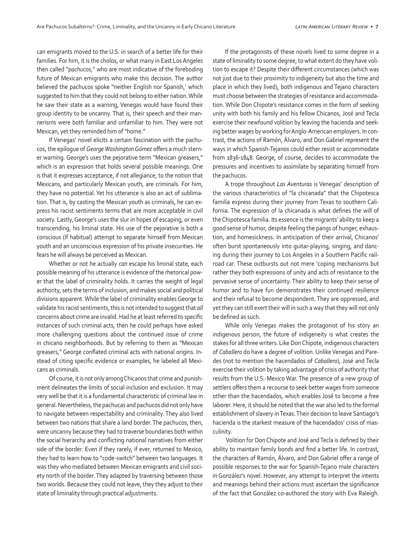can emigrants moved to the U.S. in search of a better life for their families. For him, it is the cholos, or what many in East Los Angeles then called "*pachucos*," who are most indicative of the foreboding future of Mexican emigrants who make this decision. The author believed the pachucos spoke "neither English nor Spanish,' which suggested to him that they could not belong to either nation. While he saw their state as a warning, Venegas would have found their group identity to be uncanny. That is, their speech and their mannerisms were both familiar and unfamiliar to him. They were not Mexican, yet they reminded him of "home."

If Venegas' novel elicits a certain fascination with the pachucos, the epilogue of *George Washington Gómez* offers a much sterner warning. George's uses the pejorative term "Mexican greasers," which is an expression that holds several possible meanings. One is that it expresses acceptance, if not allegiance, to the notion that Mexicans, and particularly Mexican youth, are criminals. For him, they have no potential. Yet his utterance is also an act of sublimation. That is, by casting the Mexican youth as criminals, he can express his racist sentiments terms that are more acceptable in civil society. Lastly, George's uses the slur in hopes of escaping, or even transcending, his liminal state. His use of the pejorative is both a conscious (if habitual) attempt to separate himself from Mexican youth and an unconscious expression of his private insecurities. He fears he will always be perceived as Mexican.

Whether or not he actually *can* escape his liminal state, each possible meaning of his utterance is evidence of the rhetorical power that the label of criminality holds. It carries the weight of legal authority, sets the terms of inclusion, and makes social and political divisions apparent. While the label of criminality enables George to validate his racist sentiments, this is not intended to suggest that *all* concerns about crime are invalid. Had he at least referred to specific instances of such criminal acts, then he could perhaps have asked more challenging questions about the continued issue of crime in chicano neighborhoods. But by referring to them as "Mexican greasers," George conflated criminal acts with national origins. Instead of citing specific evidence or examples, he labeled all Mexicans as criminals.

Of course, it is not only among Chicanos that crime and punishment delineates the limits of social inclusion and exclusion. It may very well be that it is a fundamental characteristic of criminal law in general. Nevertheless, the pachucas and pachucos did not only have to navigate between respectability and criminality. They also lived between two nations that share a land border. The pachucos, then, were uncanny because they had to traverse boundaries both within the social hierarchy and conflicting national narratives from either side of the border. Even if they rarely, if ever, returned to Mexico, they had to learn how to "code-switch" between two languages. It was they who mediated between Mexican emigrants and civil society north of the border. They adapted by traversing between those two worlds. Because they could not leave, they they adjust to their state of liminality through practical adjustments.

If the protagonists of these novels lived to some degree in a state of liminality to some degree, to what extent do they have volition to escape it? Despite their different circumstances (which was not just due to their proximity to indigeneity but also the time and place in which they lived), both indigenous and Tejano characters must choose between the strategies of resistance and accommodation. While Don Chipote's resistance comes in the form of seeking unity with both his family and his fellow Chicanos, José and Tecla exercise their newfound volition by leaving the hacienda and seeking better wages by working for Anglo-American employers. In contrast, the actions of Ramón, Álvaro, and Don Gabriel represent the ways in which Spanish-Tejanos could either resist or accommodate from 1836-1848. George, of course, decides to accommodate the pressures and incentives to assimilate by separating himself from the pachucos.

A trope throughout *Las Aventuras* is Venegas' description of the various characteristics of "la chicanada" that the Chipotesca familia express during their journey from Texas to southern California. The expression of la chicanada is what defines the will of the Chipotesca familia. Its essence is the migrants' ability to keep a good sense of humor, despite feeling the pangs of hunger, exhaustion, and homesickness. In anticipation of their arrival, Chicanos' often burst spontaneously into guitar-playing, singing, and dancing during their journey to Los Angeles in a Southern Pacific railroad car. These outbursts out not mere 'coping mechanisms but rather they both expressions of unity and acts of resistance to the pervasive sense of uncertainty. Their ability to keep their sense of humor and to have fun demonstrates their continued resilience and their refusal to become despondent. They are oppressed, and yet they can still exert their will in such a way that they will not only be defined as such.

While only Venegas makes the protagonist of his story an indigenous person, the future of indigeneity is what creates the stakes for all three writers. Like Don Chipote, indigenous characters of *Caballero* do have a degree of volition. Unlike Venegas and Paredes (not to mention the hacendados of *Caballero*), José and Tecla exercise their volition by taking advantage of crisis of authority that results from the U.S.-Mexico War. The presence of a new group of settlers offers them a recourse to seek better wages from someone other than the hacendados, which enables José to become a free laborer. Here, it should be noted that the war also led to the formal establishment of slavery in Texas. Their decision to leave Santiago's hacienda is the starkest measure of the hacendados' crisis of masculinity.

 Volition for Don Chipote and José and Tecla is defined by their ability to maintain family bonds and find a better life. In contrast, the characters of Ramón, Álvaro, and Don Gabriel offer a range of possible responses to the war for Spanish-Tejano male characters in González's novel. However, any attempt to interpret the intents and meanings behind their actions must ascertain the significance of the fact that González co-authored the story with Eva Raleigh.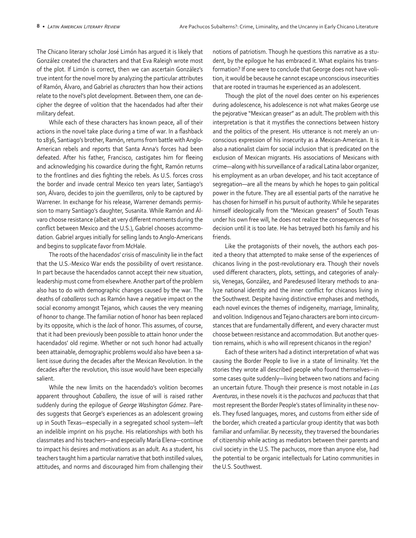The Chicano literary scholar José Limón has argued it is likely that González created the characters and that Eva Raleigh wrote most of the plot. If Limón is correct, then we can ascertain González's true intent for the novel more by analyzing the particular attributes of Ramón, Álvaro, and Gabriel as *characters* than how their actions relate to the novel's plot development. Between them, one can decipher the degree of volition that the hacendados had after their military defeat.

While each of these characters has known peace, all of their actions in the novel take place during a time of war. In a flashback to 1836, Santiago's brother, Ramón, returns from battle with Anglo-American rebels and reports that Santa Anna's forces had been defeated. After his father, Francisco, castigates him for fleeing and acknowledging his cowardice during the fight, Ramón returns to the frontlines and dies fighting the rebels. As U.S. forces cross the border and invade central Mexico ten years later, Santiago's son, Álvaro, decides to join the *guerrilleros*, only to be captured by Warrener. In exchange for his release, Warrener demands permission to marry Santiago's daughter, Susanita. While Ramón and Álvaro choose resistance (albeit at very different moments during the conflict between Mexico and the U.S.), Gabriel chooses accommodation. Gabriel argues initially for selling lands to Anglo-Americans and begins to supplicate favor from McHale.

The roots of the hacendados' crisis of masculinity lie in the fact that the U.S.-Mexico War ends the possibility of overt resistance. In part because the hacendados cannot accept their new situation, leadership must come from elsewhere. Another part of the problem also has to do with demographic changes caused by the war. The deaths of *caballeros* such as Ramón have a negative impact on the social economy amongst Tejanos, which causes the very meaning of honor to change. The familiar notion of honor has been replaced by its opposite, which is the *lack* of honor. This assumes, of course, that it had been previously been possible to attain honor under the hacendados' old regime. Whether or not such honor had actually been attainable, demographic problems would also have been a salient issue during the decades after the Mexican Revolution. In the decades after the revolution, this issue would have been especially salient.

While the new limits on the hacendado's volition becomes apparent throughout *Caballero*, the issue of will is raised rather suddenly during the epilogue of *George Washington Gómez*. Paredes suggests that George's experiences as an adolescent growing up in South Texas—especially in a segregated school system—left an indelible imprint on his psyche. His relationships with both his classmates and his teachers—and especially María Elena—continue to impact his desires and motivations as an adult. As a student, his teachers taught him a particular narrative that both instilled values, attitudes, and norms and discouraged him from challenging their

notions of patriotism. Though he questions this narrative as a student, by the epilogue he has embraced it. What explains his transformation? If one were to conclude that George does not have volition, it would be because he cannot escape unconscious insecurities that are rooted in traumas he experienced as an adolescent.

Though the plot of the novel does center on his experiences during adolescence, his adolescence is not what makes George use the pejorative "Mexican greaser" as an adult. The problem with this interpretation is that it mystifies the connections between history and the politics of the present. His utterance is not merely an unconscious expression of his insecurity as a Mexican-American. It is also a nationalist claim for social inclusion that is predicated on the exclusion of Mexican migrants. His associations of Mexicans with crime—along with his surveillance of a radical Latina labor organizer, his employment as an urban developer, and his tacit acceptance of segregation—are all the means by which he hopes to gain political power in the future. They are all essential parts of the narrative he has chosen for himself in his pursuit of authority. While he separates himself ideologically from the "Mexican greasers" of South Texas under his own free will, he does not realize the consequences of his decision until it is too late. He has betrayed both his family and his friends.

Like the protagonists of their novels, the authors each posited a theory that attempted to make sense of the experiences of chicanos living in the post-revolutionary era. Though their novels used different characters, plots, settings, and categories of analysis, Venegas, González, and Paredesused literary methods to analyze national identity and the inner conflict for chicanos living in the Southwest. Despite having distinctive emphases and methods, each novel evinces the themes of indigeneity, marriage, liminality, and volition. Indigenous and Tejano characters are born into circumstances that are fundamentally different, and every character must choose between resistance and accommodation. But another question remains, which is who will represent chicanos in the region?

Each of these writers had a distinct interpretation of what was causing the Border People to live in a state of liminality. Yet the stories they wrote all described people who found themselves—in some cases quite suddenly—living between two nations and facing an uncertain future. Though their presence is most notable in *Las Aventuras*, in these novels it is the *pachucos* and *pachucas* that that most represent the Border People's states of liminality in these novels. They fused languages, mores, and customs from either side of the border, which created a particular group identity that was both familiar and unfamiliar. By necessity, they traversed the boundaries of citizenship while acting as mediators between their parents and civil society in the U.S. The pachucos, more than anyone else, had the potential to be organic intellectuals for Latino communities in the U.S. Southwest.